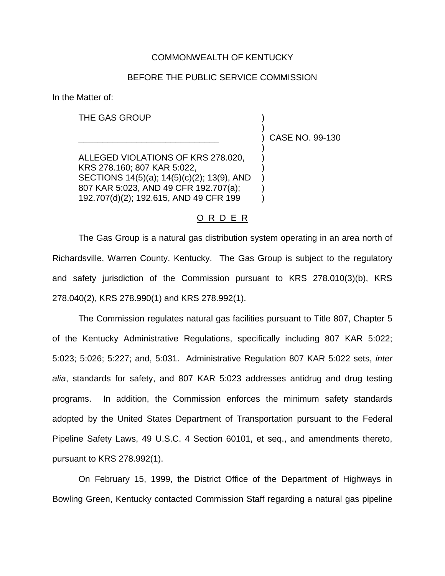## COMMONWEALTH OF KENTUCKY

## BEFORE THE PUBLIC SERVICE COMMISSION

In the Matter of:

THE GAS GROUP

\_\_\_\_\_\_\_\_\_\_\_\_\_\_\_\_\_\_\_\_\_\_\_\_\_\_\_\_\_ ) CASE NO. 99-130

)

)

ALLEGED VIOLATIONS OF KRS 278.020, KRS 278.160; 807 KAR 5:022, SECTIONS 14(5)(a); 14(5)(c)(2); 13(9), AND ) 807 KAR 5:023, AND 49 CFR 192.707(a); 192.707(d)(2); 192.615, AND 49 CFR 199 )

## O R D E R

The Gas Group is a natural gas distribution system operating in an area north of Richardsville, Warren County, Kentucky. The Gas Group is subject to the regulatory and safety jurisdiction of the Commission pursuant to KRS 278.010(3)(b), KRS 278.040(2), KRS 278.990(1) and KRS 278.992(1).

The Commission regulates natural gas facilities pursuant to Title 807, Chapter 5 of the Kentucky Administrative Regulations, specifically including 807 KAR 5:022; 5:023; 5:026; 5:227; and, 5:031. Administrative Regulation 807 KAR 5:022 sets, *inter alia*, standards for safety, and 807 KAR 5:023 addresses antidrug and drug testing programs. In addition, the Commission enforces the minimum safety standards adopted by the United States Department of Transportation pursuant to the Federal Pipeline Safety Laws, 49 U.S.C. 4 Section 60101, et seq., and amendments thereto, pursuant to KRS 278.992(1).

On February 15, 1999, the District Office of the Department of Highways in Bowling Green, Kentucky contacted Commission Staff regarding a natural gas pipeline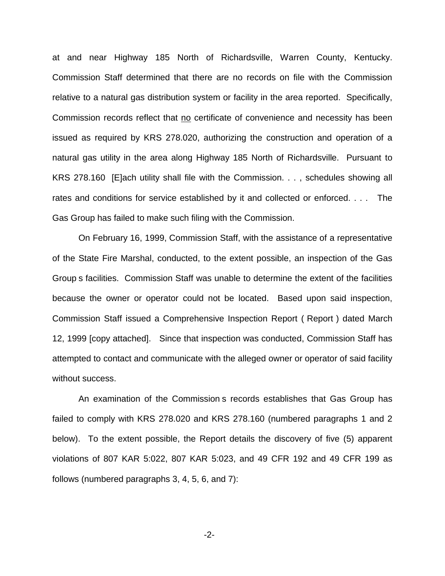at and near Highway 185 North of Richardsville, Warren County, Kentucky. Commission Staff determined that there are no records on file with the Commission relative to a natural gas distribution system or facility in the area reported. Specifically, Commission records reflect that no certificate of convenience and necessity has been issued as required by KRS 278.020, authorizing the construction and operation of a natural gas utility in the area along Highway 185 North of Richardsville. Pursuant to KRS 278.160 [E]ach utility shall file with the Commission. . . , schedules showing all rates and conditions for service established by it and collected or enforced. . . . The Gas Group has failed to make such filing with the Commission.

On February 16, 1999, Commission Staff, with the assistance of a representative of the State Fire Marshal, conducted, to the extent possible, an inspection of the Gas Group s facilities. Commission Staff was unable to determine the extent of the facilities because the owner or operator could not be located. Based upon said inspection, Commission Staff issued a Comprehensive Inspection Report ( Report ) dated March 12, 1999 [copy attached]. Since that inspection was conducted, Commission Staff has attempted to contact and communicate with the alleged owner or operator of said facility without success.

An examination of the Commission s records establishes that Gas Group has failed to comply with KRS 278.020 and KRS 278.160 (numbered paragraphs 1 and 2 below). To the extent possible, the Report details the discovery of five (5) apparent violations of 807 KAR 5:022, 807 KAR 5:023, and 49 CFR 192 and 49 CFR 199 as follows (numbered paragraphs 3, 4, 5, 6, and 7):

-2-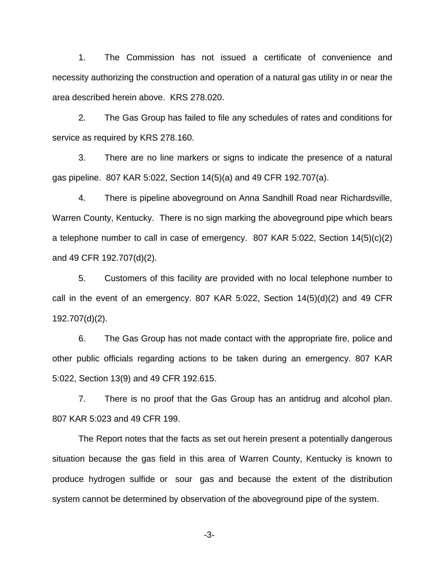1. The Commission has not issued a certificate of convenience and necessity authorizing the construction and operation of a natural gas utility in or near the area described herein above. KRS 278.020.

2. The Gas Group has failed to file any schedules of rates and conditions for service as required by KRS 278.160.

3. There are no line markers or signs to indicate the presence of a natural gas pipeline. 807 KAR 5:022, Section 14(5)(a) and 49 CFR 192.707(a).

4. There is pipeline aboveground on Anna Sandhill Road near Richardsville, Warren County, Kentucky. There is no sign marking the aboveground pipe which bears a telephone number to call in case of emergency. 807 KAR 5:022, Section 14(5)(c)(2) and 49 CFR 192.707(d)(2).

5. Customers of this facility are provided with no local telephone number to call in the event of an emergency. 807 KAR 5:022, Section 14(5)(d)(2) and 49 CFR 192.707(d)(2).

6. The Gas Group has not made contact with the appropriate fire, police and other public officials regarding actions to be taken during an emergency. 807 KAR 5:022, Section 13(9) and 49 CFR 192.615.

7. There is no proof that the Gas Group has an antidrug and alcohol plan. 807 KAR 5:023 and 49 CFR 199.

The Report notes that the facts as set out herein present a potentially dangerous situation because the gas field in this area of Warren County, Kentucky is known to produce hydrogen sulfide or sour gas and because the extent of the distribution system cannot be determined by observation of the aboveground pipe of the system.

-3-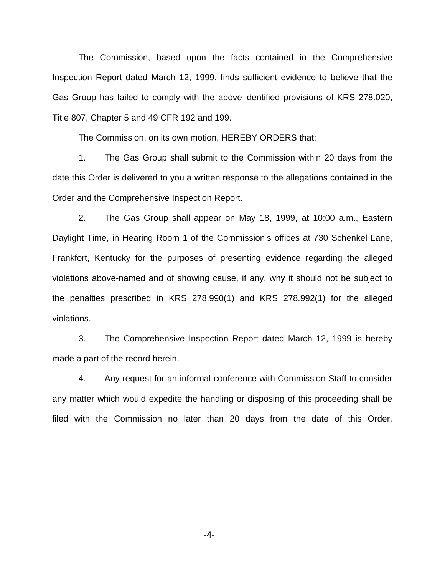The Commission, based upon the facts contained in the Comprehensive Inspection Report dated March 12, 1999, finds sufficient evidence to believe that the Gas Group has failed to comply with the above-identified provisions of KRS 278.020, Title 807, Chapter 5 and 49 CFR 192 and 199.

The Commission, on its own motion, HEREBY ORDERS that:

1. The Gas Group shall submit to the Commission within 20 days from the date this Order is delivered to you a written response to the allegations contained in the Order and the Comprehensive Inspection Report.

2. The Gas Group shall appear on May 18, 1999, at 10:00 a.m., Eastern Daylight Time, in Hearing Room 1 of the Commission s offices at 730 Schenkel Lane, Frankfort, Kentucky for the purposes of presenting evidence regarding the alleged violations above-named and of showing cause, if any, why it should not be subject to the penalties prescribed in KRS 278.990(1) and KRS 278.992(1) for the alleged violations.

3. The Comprehensive Inspection Report dated March 12, 1999 is hereby made a part of the record herein.

4. Any request for an informal conference with Commission Staff to consider any matter which would expedite the handling or disposing of this proceeding shall be filed with the Commission no later than 20 days from the date of this Order.

-4-